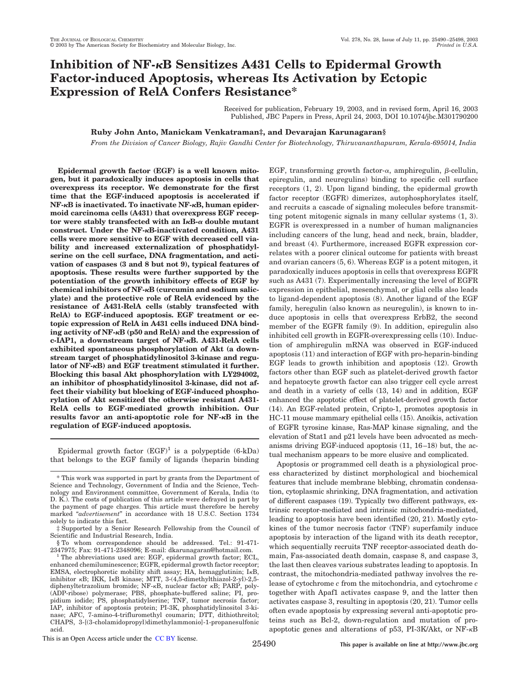# **Inhibition of NF-B Sensitizes A431 Cells to Epidermal Growth Factor-induced Apoptosis, whereas Its Activation by Ectopic Expression of RelA Confers Resistance\***

Received for publication, February 19, 2003, and in revised form, April 16, 2003 Published, JBC Papers in Press, April 24, 2003, DOI 10.1074/jbc.M301790200

# **Ruby John Anto, Manickam Venkatraman‡, and Devarajan Karunagaran§**

*From the Division of Cancer Biology, Rajiv Gandhi Center for Biotechnology, Thiruvananthapuram, Kerala-695014, India*

**Epidermal growth factor (EGF) is a well known mitogen, but it paradoxically induces apoptosis in cells that overexpress its receptor. We demonstrate for the first time that the EGF-induced apoptosis is accelerated if NF-B is inactivated. To inactivate NF-B, human epidermoid carcinoma cells (A431) that overexpress EGF recep-** $\text{tor were stably transfected with an I\kappa B-}\alpha \text{ double mutant}$ **construct. Under the NF-B-inactivated condition, A431 cells were more sensitive to EGF with decreased cell viability and increased externalization of phosphatidylserine on the cell surface, DNA fragmentation, and activation of caspases (3 and 8 but not 9), typical features of apoptosis. These results were further supported by the potentiation of the growth inhibitory effects of EGF by chemical inhibitors of NF-B (curcumin and sodium salicylate) and the protective role of RelA evidenced by the resistance of A431-RelA cells (stably transfected with RelA) to EGF-induced apoptosis. EGF treatment or ectopic expression of RelA in A431 cells induced DNA binding activity of NF-B (p50 and RelA) and the expression of c-IAP1, a downstream target of NF-B. A431-RelA cells exhibited spontaneous phosphorylation of Akt (a downstream target of phosphatidylinositol 3-kinase and regulator of NF-B) and EGF treatment stimulated it further. Blocking this basal Akt phosphorylation with LY294002, an inhibitor of phosphatidylinositol 3-kinase, did not affect their viability but blocking of EGF-induced phosphorylation of Akt sensitized the otherwise resistant A431- RelA cells to EGF-mediated growth inhibition. Our results favor an anti-apoptotic role for NF-B in the regulation of EGF-induced apoptosis.**

Epidermal growth factor  $(EGF)^1$  is a polypeptide  $(6-kDa)$ that belongs to the EGF family of ligands (heparin binding

§ To whom correspondence should be addressed. Tel.: 91-471- 2347975; Fax: 91-471-2348096; E-mail: dkarunagaran@hotmail.com.

EGF, transforming growth factor- $\alpha$ , amphiregulin,  $\beta$ -cellulin, epiregulin, and neuregulins) binding to specific cell surface receptors (1, 2). Upon ligand binding, the epidermal growth factor receptor (EGFR) dimerizes, autophosphorylates itself, and recruits a cascade of signaling molecules before transmitting potent mitogenic signals in many cellular systems (1, 3). EGFR is overexpressed in a number of human malignancies including cancers of the lung, head and neck, brain, bladder, and breast (4). Furthermore, increased EGFR expression correlates with a poorer clinical outcome for patients with breast and ovarian cancers (5, 6). Whereas EGF is a potent mitogen, it paradoxically induces apoptosis in cells that overexpress EGFR such as A431 (7). Experimentally increasing the level of EGFR expression in epithelial, mesenchymal, or glial cells also leads to ligand-dependent apoptosis (8). Another ligand of the EGF family, heregulin (also known as neuregulin), is known to induce apoptosis in cells that overexpress ErbB2, the second member of the EGFR family (9). In addition, epiregulin also inhibited cell growth in EGFR-overexpressing cells (10). Induction of amphiregulin mRNA was observed in EGF-induced apoptosis (11) and interaction of EGF with pro-heparin-binding EGF leads to growth inhibition and apoptosis (12). Growth factors other than EGF such as platelet-derived growth factor and hepatocyte growth factor can also trigger cell cycle arrest and death in a variety of cells (13, 14) and in addition, EGF enhanced the apoptotic effect of platelet-derived growth factor (14). An EGF-related protein, Cripto-1, promotes apoptosis in HC-11 mouse mammary epithelial cells (15). Anoikis, activation of EGFR tyrosine kinase, Ras-MAP kinase signaling, and the elevation of Stat1 and p21 levels have been advocated as mechanisms driving EGF-induced apoptosis (11, 16–18) but, the actual mechanism appears to be more elusive and complicated.

Apoptosis or programmed cell death is a physiological process characterized by distinct morphological and biochemical features that include membrane blebbing, chromatin condensation, cytoplasmic shrinking, DNA fragmentation, and activation of different caspases (19). Typically two different pathways, extrinsic receptor-mediated and intrinsic mitochondria-mediated, leading to apoptosis have been identified (20, 21). Mostly cytokines of the tumor necrosis factor (TNF) superfamily induce apoptosis by interaction of the ligand with its death receptor, which sequentially recruits TNF receptor-associated death domain, Fas-associated death domain, caspase 8, and caspase 3, the last then cleaves various substrates leading to apoptosis. In contrast, the mitochondria-mediated pathway involves the release of cytochrome *c* from the mitochondria, and cytochrome *c* together with Apaf1 activates caspase 9, and the latter then activates caspase 3, resulting in apoptosis (20, 21). Tumor cells often evade apoptosis by expressing several anti-apoptotic proteins such as Bcl-2, down-regulation and mutation of proapoptotic genes and alterations of p53, PI-3K/Akt, or  $NF-<sub>K</sub>B$ 

This is an Open Access article under the CC BY license.

<sup>\*</sup> This work was supported in part by grants from the Department of Science and Technology, Government of India and the Science, Technology and Environment committee, Government of Kerala, India (to D. K.). The costs of publication of this article were defrayed in part by the payment of page charges. This article must therefore be hereby marked "*advertisement*" in accordance with 18 U.S.C. Section 1734 solely to indicate this fact.

<sup>‡</sup> Supported by a Senior Research Fellowship from the Council of Scientific and Industrial Research, India.

<sup>&</sup>lt;sup>1</sup> The abbreviations used are: EGF, epidermal growth factor; ECL, enhanced chemiluminescence; EGFR, epidermal growth factor receptor; EMSA, electrophoretic mobility shift assay; HA, hemagglutinin;  $I \kappa B$ , inhibitor  $\kappa$ B; IKK, I $\kappa$ B kinase; MTT, 3-(4,5-dimethylthiazol-2-yl)-2,5diphenyltetrazolium bromide; NF-KB, nuclear factor KB; PARP, poly-(ADP-ribose) polymerase; PBS, phosphate-buffered saline; PI, propidium iodide; PS, phosphatidylserine; TNF, tumor necrosis factor; IAP, inhibitor of apoptosis protein; PI-3K, phosphatidylinositol 3-kinase; AFC, 7-amino-4-trifluromethyl coumarin; DTT, dithiothreitol; CHAPS, 3-[(3-cholamidopropyl)dimethylammonio]-1-propanesulfonic acid.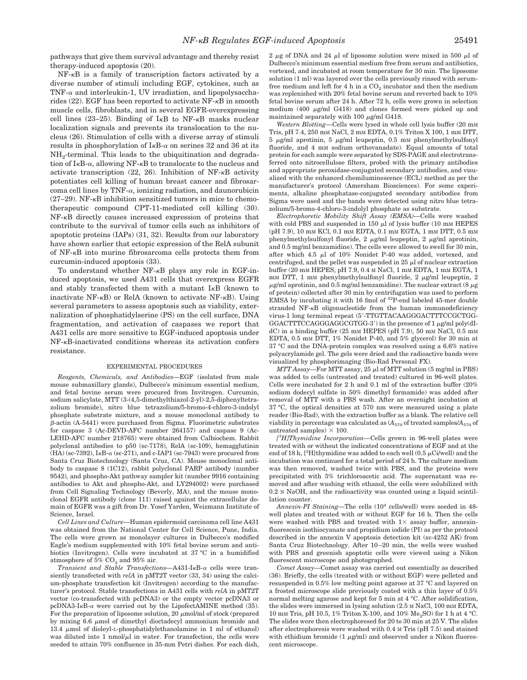pathways that give them survival advantage and thereby resist therapy-induced apoptosis (20).

 $NF-\kappa B$  is a family of transcription factors activated by a diverse number of stimuli including EGF, cytokines, such as TNF- $\alpha$  and interleukin-1, UV irradiation, and lipopolysaccharides (22). EGF has been reported to activate  $NF$ - $\kappa B$  in smooth muscle cells, fibroblasts, and in several EGFR-overexpressing cell lines (23–25). Binding of  $I<sub>K</sub>B$  to NF- $<sub>K</sub>B$  masks nuclear</sub> localization signals and prevents its translocation to the nucleus (26). Stimulation of cells with a diverse array of stimuli results in phosphorylation of  $I \kappa B$ - $\alpha$  on serines 32 and 36 at its  $NH_2$ -terminal. This leads to the ubiquitination and degradation of I $\kappa$ B- $\alpha$ , allowing NF- $\kappa$ B to translocate to the nucleus and activate transcription (22, 26). Inhibition of NF- $\kappa$ B activity potentiates cell killing of human breast cancer and fibrosarcoma cell lines by TNF- $\alpha$ , ionizing radiation, and daunorubicin (27–29). NF- $\kappa$ B inhibition sensitized tumors in mice to chemotherapeutic compound CPT-11-mediated cell killing (30).  $NF-\kappa B$  directly causes increased expression of proteins that contribute to the survival of tumor cells such as inhibitors of apoptotic proteins (IAPs) (31, 32). Results from our laboratory have shown earlier that ectopic expression of the RelA subunit of  $NF-\kappa B$  into murine fibrosarcoma cells protects them from curcumin-induced apoptosis (33).

To understand whether  $NF- $\kappa$ B$  plays any role in EGF-induced apoptosis, we used A431 cells that overexpress EGFR and stably transfected them with a mutant  $I<sub>K</sub>B$  (known to inactivate NF- $\kappa$ B) or RelA (known to activate NF- $\kappa$ B). Using several parameters to assess apoptosis such as viability, externalization of phosphatidylserine (PS) on the cell surface, DNA fragmentation, and activation of caspases we report that A431 cells are more sensitive to EGF-induced apoptosis under  $NF- $\kappa$ B-inactivated conditions whereas its activation confers$ resistance.

## EXPERIMENTAL PROCEDURES

*Reagents, Chemicals, and Antibodies—*EGF (isolated from male mouse submaxillary glands), Dulbecco's minimum essential medium, and fetal bovine serum were procured from Invitrogen. Curcumin, sodium salicylate, MTT (3-(4,5-dimethylthiazol-2-yl)-2,5-diphenyltetrazolium bromide), nitro blue tetrazolium/5-bromo-4-chloro-3-indolyl phosphate substrate mixture, and a mouse monoclonal antibody to  $\beta$ -actin (A-5441) were purchased from Sigma. Fluorimetric substrates for caspase 3 (Ac-DEVD-AFC number 264157) and caspase 9 (Ac-LEHD-AFC number 218765) were obtained from Calbiochem. Rabbit polyclonal antibodies to p50 (sc-7178), RelA (sc-109), hemagglutinin  $(HA)$  (sc-7392),  $I<sub>K</sub>B-\alpha$  (sc-271), and c-IAP1 (sc-7943) were procured from Santa Cruz Biotechnology (Santa Cruz, CA). Mouse monoclonal antibody to caspase 8 (1C12), rabbit polyclonal PARP antibody (number 9542), and phospho-Akt pathway sampler kit (number 9916 containing antibodies to Akt and phospho-Akt, and LY294002) were purchased from Cell Signaling Technology (Beverly, MA), and the mouse monoclonal EGFR antibody (clone 111) raised against the extracellular domain of EGFR was a gift from Dr. Yosef Yarden, Weizmann Institute of Science, Israel.

*Cell Lines and Culture—*Human epidermoid carcinoma cell line A431 was obtained from the National Center for Cell Science, Pune, India. The cells were grown as monolayer cultures in Dulbecco's modified Eagle's medium supplemented with 10% fetal bovine serum and antibiotics (Invitrogen). Cells were incubated at 37 °C in a humidified atmosphere of  $5\%$  CO<sub>2</sub> and  $95\%$  air.

*Transient and Stable Transfections*—A431-I<sub>K</sub>B- $\alpha$  cells were transiently transfected with *relA* in pMT2T vector (33, 34) using the calcium-phosphate transfection kit (Invitrogen) according to the manufacturer's protocol. Stable transfections in A431 cells with *relA* in pMT2T vector (co-transfected with pcDNA3) or the empty vector pcDNA3 or  $pcDNA3-I<sub>K</sub>B-<sub>\alpha</sub>$  were carried out by the LipofectAMINE method (35). For the preparation of liposome solution, 20  $\mu$  mol/ml of stock (prepared by mixing  $6.6 \mu$ mol of dimethyl dioctadecyl ammonium bromide and 13.4  $\mu$ mol of dioleyl-L-phosphatidylethanolamine in 1 ml of ethanol) was diluted into 1 nmol/ $\mu$ l in water. For transfection, the cells were seeded to attain 70% confluence in 35-mm Petri dishes. For each dish, 2  $\mu$ g of DNA and 24  $\mu$ l of liposome solution were mixed in 500  $\mu$ l of Dulbecco's minimum essential medium free from serum and antibiotics, vortexed, and incubated at room temperature for 30 min. The liposome solution (1 ml) was layered over the cells previously rinsed with serumfree medium and left for 4 h in a  $\mathrm{CO}_2$  incubator and then the medium was replenished with 20% fetal bovine serum and reverted back to 10% fetal bovine serum after 24 h. After 72 h, cells were grown in selection medium (400  $\mu$ g/ml G418) and clones formed were picked up and maintained separately with 100  $\mu$ g/ml G418.

*Western Blotting—*Cells were lysed in whole cell lysis buffer (20 mM Tris, pH 7.4, 250 mM NaCl, 2 mM EDTA, 0.1% Triton X 100, 1 mM DTT, 5  $\mu$ g/ml aprotinin, 5  $\mu$ g/ml leupeptin, 0.5 mM phenylmethylsulfonyl fluoride, and 4 mM sodium orthovanadate). Equal amounts of total protein for each sample were separated by SDS-PAGE and electrotransferred onto nitrocellulose filters, probed with the primary antibodies and appropriate peroxidase-conjugated secondary antibodies, and visualized with the enhanced chemiluminescence (ECL) method as per the manufacturer's protocol (Amersham Biosciences). For some experiments, alkaline phosphatase-conjugated secondary antibodies from Sigma were used and the bands were detected using nitro blue tetrazolium/5-bromo-4-chloro-3-indolyl phosphate as substrate.

*Electrophoretic Mobility Shift Assay (EMSA)—*Cells were washed with cold PBS and suspended in 150  $\mu$ l of lysis buffer (10 mM HEPES (pH 7.9), 10 mM KCl, 0.1 mM EDTA, 0.1 mM EGTA, 1 mM DTT, 0.5 mM phenylmethylsulfonyl fluoride, 2  $\mu$ g/ml leupeptin, 2  $\mu$ g/ml aprotinin, and 0.5 mg/ml benzamidine). The cells were allowed to swell for 30 min, after which 4.5  $\mu$ l of 10% Nonidet P-40 was added, vortexed, and centrifuged, and the pellet was suspended in  $25 \mu$  of nuclear extraction buffer (20 mM HEPES, pH 7.9, 0.4 M NaCl, 1 mM EDTA, 1 mM EGTA, 1 mM DTT, 1 mM phenylmethylsulfonyl fluoride, 2  $\mu$ g/ml leupeptin, 2  $\mu$ g/ml aprotinin, and 0.5 mg/ml benzamidine). The nuclear extract (8  $\mu$ g of protein) collected after 30 min by centrifugation was used to perform EMSA by incubating it with 16 fmol of  ${}^{32}P$ -end labeled 45-mer double stranded NF- $\kappa$ B oligonucleotide from the human immunodeficiency virus-1 long terminal repeat (5-TTGTTACAAGGGACTTTCCGCTGG-GGACTTTCCAGGGAGGCGTGG-3') in the presence of  $1 \mu$ g/ml poly(dIdC) in a binding buffer (25 mM HEPES (pH 7.9), 50 mM NaCl, 0.5 mM EDTA, 0.5 mM DTT, 1% Nonidet P-40, and 5% glycerol) for 30 min at 37 °C and the DNA-protein complex was resolved using a 6.6% native polyacrylamide gel. The gels were dried and the radioactive bands were visualized by phosphorimaging (Bio-Rad Personal FX).

*MTT Assay*—For MTT assay, 25 µl of MTT solution (5 mg/ml in PBS) was added to cells (untreated and treated) cultured in 96-well plates. Cells were incubated for 2 h and 0.1 ml of the extraction buffer (20% sodium dodecyl sulfate in 50% dimethyl formamide) was added after removal of MTT with a PBS wash. After an overnight incubation at 37 °C, the optical densities at 570 nm were measured using a plate reader (Bio-Rad), with the extraction buffer as a blank. The relative cell viability in percentage was calculated as  $(A_{570}$  of treated samples/ $A_{570}$  of untreated samples)  $\times$  100.

*[ <sup>3</sup>H]Thymidine Incorporation—*Cells grown in 96-well plates were treated with or without the indicated concentrations of EGF and at the end of 18 h,  $[3H]$ thymidine was added to each well (0.5  $\mu$ Ci/well) and the incubation was continued for a total period of 24 h. The culture medium was then removed, washed twice with PBS, and the proteins were precipitated with 5% trichloroacetic acid. The supernatant was removed and after washing with ethanol, the cells were solubilized with 0.2 N NaOH, and the radioactivity was counted using a liquid scintillation counter.

Annexin-PI Staining-The cells (10<sup>4</sup> cells/well) were seeded in 48well plates and treated with or without EGF for 16 h. Then the cells were washed with PBS and treated with  $1\times$  assay buffer, annexinfluorescein isothiocyanate and propidium iodide (PI) as per the protocol described in the annexin V apoptosis detection kit (sc-4252 AK) from Santa Cruz Biotechnology. After 10–20 min, the wells were washed with PBS and greenish apoptotic cells were viewed using a Nikon fluorescent microscope and photographed.

*Comet Assay—*Comet assay was carried out essentially as described (36). Briefly, the cells (treated with or without EGF) were pelleted and resuspended in 0.5% low melting point agarose at 37 °C and layered on a frosted microscope slide previously coated with a thin layer of 0.5% normal melting agarose and kept for 5 min at 4 °C. After solidification, the slides were immersed in lysing solution (2.5 M NaCl, 100 mM EDTA, 10 mm Tris, pH 10.5, 1% Triton X-100, and 10%  $Me<sub>9</sub>SO$  for 1 h at 4 °C. The slides were then electrophoresed for 20 to 30 min at 25 V. The slides after electrophoresis were washed with 0.4 M Tris (pH 7.5) and stained with ethidium bromide  $(1 \mu g/ml)$  and observed under a Nikon fluorescent microscope.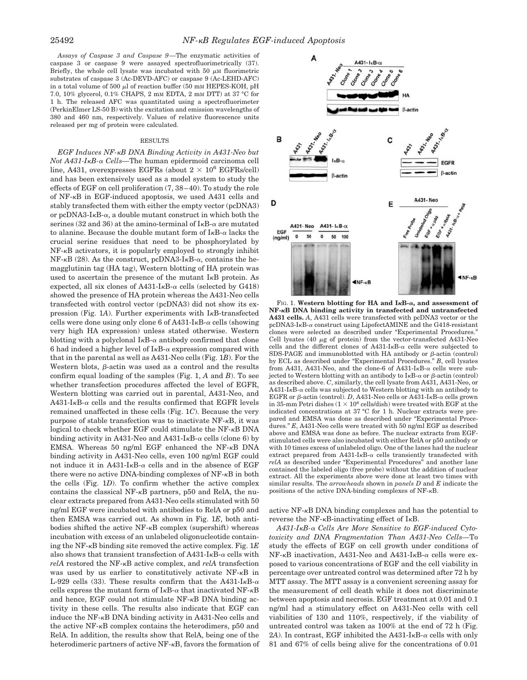*Assays of Caspase 3 and Caspase 9—*The enzymatic activities of caspase 3 or caspase 9 were assayed spectrofluorimetrically (37). Briefly, the whole cell lysate was incubated with 50  $\mu$ M fluorimetric substrates of caspase 3 (Ac-DEVD-AFC) or caspase 9 (Ac-LEHD-AFC) in a total volume of 500  $\mu$ l of reaction buffer (50 mm HEPES-KOH, pH 7.0, 10% glycerol, 0.1% CHAPS, 2 mM EDTA, 2 mM DTT) at 37 °C for 1 h. The released AFC was quantitated using a spectrofluorimeter (PerkinElmer LS-50 B) with the excitation and emission wavelengths of 380 and 460 nm, respectively. Values of relative fluorescence units released per mg of protein were calculated.

#### RESULTS

*EGF Induces NF-B DNA Binding Activity in A431-Neo but Not A431-IB- Cells—*The human epidermoid carcinoma cell line, A431, overexpresses EGFRs (about  $2 \times 10^6$  EGFRs/cell) and has been extensively used as a model system to study the effects of EGF on cell proliferation (7, 38–40). To study the role of NF- $\kappa$ B in EGF-induced apoptosis, we used A431 cells and stably transfected them with either the empty vector (pcDNA3) or pcDNA3-I $\kappa$ B- $\alpha$ , a double mutant construct in which both the serines (32 and 36) at the amino-terminal of  $I<sub>K</sub>B-<sub>\alpha</sub>$  are mutated to alanine. Because the double mutant form of  $I \kappa B$ - $\alpha$  lacks the crucial serine residues that need to be phosphorylated by  $NF- $\kappa$ B$  activators, it is popularly employed to strongly inhibit  $NF-\kappa B$  (28). As the construct, pcDNA3-I $\kappa B-\alpha$ , contains the hemagglutinin tag (HA tag), Western blotting of HA protein was used to ascertain the presence of the mutant  $I<sub>K</sub>B$  protein. As expected, all six clones of A431-I<sub>K</sub>B- $\alpha$  cells (selected by G418) showed the presence of HA protein whereas the A431-Neo cells transfected with control vector (pcDNA3) did not show its expression (Fig. 1A). Further experiments with  $I<sub>\kappa</sub>B$ -transfected cells were done using only clone 6 of  $A431-I<sub>K</sub>B-\alpha$  cells (showing very high HA expression) unless stated otherwise. Western blotting with a polyclonal  $I \kappa B$ - $\alpha$  antibody confirmed that clone 6 had indeed a higher level of  $I<sub>\kappa</sub>B-\alpha$  expression compared with that in the parental as well as A431-Neo cells (Fig. 1*B*). For the Western blots,  $\beta$ -actin was used as a control and the results confirm equal loading of the samples (Fig. 1, *A* and *B*). To see whether transfection procedures affected the level of EGFR, Western blotting was carried out in parental, A431-Neo, and  $A431-I<sub>K</sub>B-\alpha$  cells and the results confirmed that EGFR levels remained unaffected in these cells (Fig. 1*C*). Because the very purpose of stable transfection was to inactivate  $NF - \kappa B$ , it was logical to check whether EGF could stimulate the NF- $\kappa$ B DNA binding activity in A431-Neo and A431-I $\kappa$ B- $\alpha$  cells (clone 6) by EMSA. Whereas 50 ng/ml EGF enhanced the NF- $\kappa$ B DNA binding activity in A431-Neo cells, even 100 ng/ml EGF could not induce it in A431-I<sub>K</sub>B- $\alpha$  cells and in the absence of EGF there were no active DNA-binding complexes of  $NF - \kappa B$  in both the cells (Fig. 1*D*). To confirm whether the active complex contains the classical NF- $\kappa$ B partners, p50 and RelA, the nuclear extracts prepared from A431-Neo cells stimulated with 50 ng/ml EGF were incubated with antibodies to RelA or p50 and then EMSA was carried out. As shown in Fig. 1*E*, both antibodies shifted the active  $NF-<sub>K</sub>B$  complex (supershift) whereas incubation with excess of an unlabeled oligonucleotide containing the NF- $\kappa$ B binding site removed the active complex. Fig. 1 $E$ also shows that transient transfection of A431-I $\kappa$ B- $\alpha$  cells with *relA* restored the NF- $\kappa$ B active complex, and *relA* transfection was used by us earlier to constitutively activate  $NF-\kappa B$  in L-929 cells (33). These results confirm that the A431-I<sub>K</sub>B- $\alpha$ cells express the mutant form of  $I\kappa B$ - $\alpha$  that inactivated NF- $\kappa B$ and hence,  $EGF$  could not stimulate  $NF - \kappa B$  DNA binding activity in these cells. The results also indicate that EGF can induce the  $NF - \kappa B$  DNA binding activity in A431-Neo cells and the active  $NF-\kappa B$  complex contains the heterodimers, p50 and RelA. In addition, the results show that RelA, being one of the heterodimeric partners of active  $NF - \kappa B$ , favors the formation of



FIG. 1. Western blotting for HA and  $I_{\kappa}B$ - $\alpha$ , and assessment of **NF-B DNA binding activity in transfected and untransfected A431 cells.** *A*, A431 cells were transfected with pcDNA3 vector or the pcDNA3-I $\kappa$ B- $\alpha$  construct using LipofectAMINE and the G418-resistant clones were selected as described under "Experimental Procedures." Cell lysates (40  $\mu$ g of protein) from the vector-transfected A431-Neo cells and the different clones of A431-I<sub>K</sub>B- $\alpha$  cells were subjected to SDS-PAGE and immunoblotted with HA antibody or  $\beta$ -actin (control) by ECL as described under "Experimental Procedures." *B*, cell lysates from A431, A431-Neo, and the clone-6 of A431-I $\kappa$ B- $\alpha$  cells were subjected to Western blotting with an antibody to  $I\kappa B$ - $\alpha$  or  $\beta$ -actin (control) as described above. *C*, similarly, the cell lysate from A431, A431-Neo, or  $A431$ -I<sub>K</sub>B- $\alpha$  cells was subjected to Western blotting with an antibody to EGFR or  $\beta$ -actin (control). *D*, A431-Neo cells or A431-I $\kappa$ B- $\alpha$  cells grown in 35-mm Petri dishes ( $1 \times 10^6$  cells/dish) were treated with EGF at the indicated concentrations at 37 °C for 1 h. Nuclear extracts were prepared and EMSA was done as described under "Experimental Procedures." E, A431-Neo cells were treated with 50 ng/ml EGF as described above and EMSA was done as before. The nuclear extracts from EGFstimulated cells were also incubated with either RelA or p50 antibody or with 10 times excess of unlabeled oligo. One of the lanes had the nuclear extract prepared from A431-I $\kappa$ B- $\alpha$  cells transiently transfected with *relA* as described under "Experimental Procedures" and another lane contained the labeled oligo (free probe) without the addition of nuclear extract. All the experiments above were done at least two times with similar results. The *arrowheads* shown in *panels D* and *E* indicate the positions of the active DNA-binding complexes of  $NF-\kappa B$ .

active  $NF - \kappa B$  DNA binding complexes and has the potential to reverse the NF- $\kappa$ B-inactivating effect of I $\kappa$ B.

*A431-IB- Cells Are More Sensitive to EGF-induced Cytotoxicity and DNA Fragmentation Than A431-Neo Cells—*To study the effects of EGF on cell growth under conditions of NF- $\kappa$ B inactivation, A431-Neo and A431-I $\kappa$ B- $\alpha$  cells were exposed to various concentrations of EGF and the cell viability in percentage over untreated control was determined after 72 h by MTT assay. The MTT assay is a convenient screening assay for the measurement of cell death while it does not discriminate between apoptosis and necrosis. EGF treatment at 0.01 and 0.1 ng/ml had a stimulatory effect on A431-Neo cells with cell viabilities of 130 and 110%, respectively, if the viability of untreated control was taken as 100% at the end of 72 h (Fig. 2A). In contrast, EGF inhibited the  $A431-I<sub>K</sub>B-<sub>\alpha</sub>$  cells with only 81 and 67% of cells being alive for the concentrations of 0.01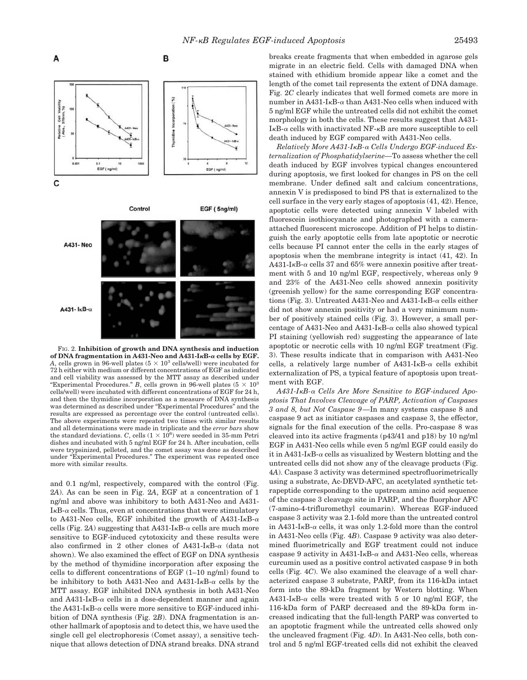

FIG. 2. **Inhibition of growth and DNA synthesis and induction of DNA fragmentation in A431-Neo and A431-I<sub>K</sub>B-α cells by EGF.** A, cells grown in 96-well plates  $(5 \times 10^3 \text{ cells/well})$  were incubated for 72 h either with medium or different concentrations of EGF as indicated and cell viability was assessed by the MTT assay as described under "Experimental Procedures." *B*, cells grown in 96-well plates  $(5 \times 10^3)$ cells/well) were incubated with different concentrations of EGF for 24 h, and then the thymidine incorporation as a measure of DNA synthesis was determined as described under "Experimental Procedures" and the results are expressed as percentage over the control (untreated cells). The above experiments were repeated two times with similar results and all determinations were made in triplicate and the *error bars* show the standard deviations. *C*, cells  $(1 \times 10^6)$  were seeded in 35-mm Petri dishes and incubated with 5 ng/ml EGF for 24 h. After incubation, cells were trypsinized, pelleted, and the comet assay was done as described under "Experimental Procedures." The experiment was repeated once more with similar results.

and 0.1 ng/ml, respectively, compared with the control (Fig. 2*A*). As can be seen in Fig. 2*A*, EGF at a concentration of 1 ng/ml and above was inhibitory to both A431-Neo and A431-  $I<sub>K</sub>B-<sub>\alpha</sub>$  cells. Thus, even at concentrations that were stimulatory to A431-Neo cells, EGF inhibited the growth of A431-I<sub>K</sub>B- $\alpha$ cells (Fig.  $2A$ ) suggesting that A431-I<sub>K</sub>B- $\alpha$  cells are much more sensitive to EGF-induced cytotoxicity and these results were also confirmed in 2 other clones of A431-I<sub>K</sub>B- $\alpha$  (data not shown). We also examined the effect of EGF on DNA synthesis by the method of thymidine incorporation after exposing the cells to different concentrations of EGF (1–10 ng/ml) found to be inhibitory to both A431-Neo and A431-I<sub>K</sub>B- $\alpha$  cells by the MTT assay. EGF inhibited DNA synthesis in both A431-Neo and A431-I<sub>K</sub>B- $\alpha$  cells in a dose-dependent manner and again the A431-I<sub>K</sub>B- $\alpha$  cells were more sensitive to EGF-induced inhibition of DNA synthesis (Fig. 2*B*). DNA fragmentation is another hallmark of apoptosis and to detect this, we have used the single cell gel electrophoresis (Comet assay), a sensitive technique that allows detection of DNA strand breaks. DNA strand

breaks create fragments that when embedded in agarose gels migrate in an electric field. Cells with damaged DNA when stained with ethidium bromide appear like a comet and the length of the comet tail represents the extent of DNA damage. Fig. 2*C* clearly indicates that well formed comets are more in number in A431-I $\kappa$ B- $\alpha$  than A431-Neo cells when induced with 5 ng/ml EGF while the untreated cells did not exhibit the comet morphology in both the cells. These results suggest that A431-  $I_{\kappa}B$ - $\alpha$  cells with inactivated NF- $\kappa$ B are more susceptible to cell death induced by EGF compared with A431-Neo cells.

*Relatively More A431-IB- Cells Undergo EGF-induced Externalization of Phosphatidylserine—*To assess whether the cell death induced by EGF involves typical changes encountered during apoptosis, we first looked for changes in PS on the cell membrane. Under defined salt and calcium concentrations, annexin V is predisposed to bind PS that is externalized to the cell surface in the very early stages of apoptosis (41, 42). Hence, apoptotic cells were detected using annexin V labeled with fluorescein isothiocyanate and photographed with a cameraattached fluorescent microscope. Addition of PI helps to distinguish the early apoptotic cells from late apoptotic or necrotic cells because PI cannot enter the cells in the early stages of apoptosis when the membrane integrity is intact (41, 42). In A431-I<sub>K</sub>B- $\alpha$  cells 37 and 65% were annexin positive after treatment with 5 and 10 ng/ml EGF, respectively, whereas only 9 and 23% of the A431-Neo cells showed annexin positivity (greenish yellow) for the same corresponding EGF concentrations (Fig. 3). Untreated A431-Neo and A431-I $\kappa$ B- $\alpha$  cells either did not show annexin positivity or had a very minimum number of positively stained cells (Fig. 3). However, a small percentage of A431-Neo and A431-I $\kappa$ B- $\alpha$  cells also showed typical PI staining (yellowish red) suggesting the appearance of late apoptotic or necrotic cells with 10 ng/ml EGF treatment (Fig. 3). These results indicate that in comparison with A431-Neo cells, a relatively large number of A431-I $\kappa$ B- $\alpha$  cells exhibit externalization of PS, a typical feature of apoptosis upon treatment with EGF.

*A431-IB- Cells Are More Sensitive to EGF-induced Apoptosis That Involves Cleavage of PARP, Activation of Caspases 3 and 8, but Not Caspase 9—*In many systems caspase 8 and caspase 9 act as initiator caspases and caspase 3, the effector, signals for the final execution of the cells. Pro-caspase 8 was cleaved into its active fragments (p43/41 and p18) by 10 ng/ml EGF in A431-Neo cells while even 5 ng/ml EGF could easily do it in A431-I $\kappa$ B- $\alpha$  cells as visualized by Western blotting and the untreated cells did not show any of the cleavage products (Fig. 4*A*). Caspase 3 activity was determined spectrofluorimetrically using a substrate, Ac-DEVD-AFC, an acetylated synthetic tetrapeptide corresponding to the upstream amino acid sequence of the caspase 3 cleavage site in PARP, and the fluorphor AFC (7-amino-4-trifluromethyl coumarin). Whereas EGF-induced caspase 3 activity was 2.1-fold more than the untreated control in A431-I<sub>K</sub>B- $\alpha$  cells, it was only 1.2-fold more than the control in A431-Neo cells (Fig. 4*B*). Caspase 9 activity was also determined fluorimetrically and EGF treatment could not induce caspase 9 activity in A431-I $\kappa$ B- $\alpha$  and A431-Neo cells, whereas curcumin used as a positive control activated caspase 9 in both cells (Fig. 4*C*). We also examined the cleavage of a well characterized caspase 3 substrate, PARP, from its 116-kDa intact form into the 89-kDa fragment by Western blotting. When A431-I<sub>K</sub>B- $\alpha$  cells were treated with 5 or 10 ng/ml EGF, the 116-kDa form of PARP decreased and the 89-kDa form increased indicating that the full-length PARP was converted to an apoptotic fragment while the untreated cells showed only the uncleaved fragment (Fig. 4*D*). In A431-Neo cells, both control and 5 ng/ml EGF-treated cells did not exhibit the cleaved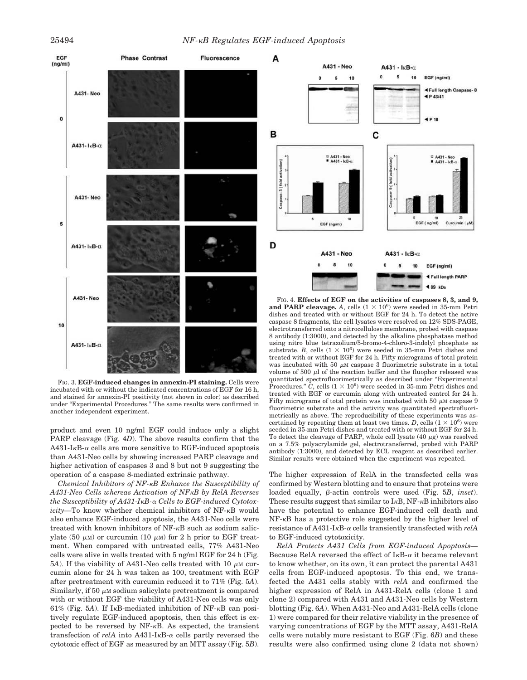

FIG. 3. **EGF-induced changes in annexin-PI staining.** Cells were incubated with or without the indicated concentrations of EGF for 16 h, and stained for annexin-PI positivity (not shown in color) as described under "Experimental Procedures." The same results were confirmed in another independent experiment.

product and even 10 ng/ml EGF could induce only a slight PARP cleavage (Fig. 4*D*). The above results confirm that the  $A431-I<sub>K</sub>B-\alpha$  cells are more sensitive to EGF-induced apoptosis than A431-Neo cells by showing increased PARP cleavage and higher activation of caspases 3 and 8 but not 9 suggesting the operation of a caspase 8-mediated extrinsic pathway.

*Chemical Inhibitors of NF-B Enhance the Susceptibility of A431-Neo Cells whereas Activation of NFB by RelA Reverses the Susceptibility of A431-IB- Cells to EGF-induced Cytotox* $icity$ —To know whether chemical inhibitors of NF- $\kappa$ B would also enhance EGF-induced apoptosis, the A431-Neo cells were treated with known inhibitors of  $NF- $\kappa$ B$  such as sodium salicylate (50  $\mu$ M) or curcumin (10  $\mu$ M) for 2 h prior to EGF treatment. When compared with untreated cells, 77% A431-Neo cells were alive in wells treated with 5 ng/ml EGF for 24 h (Fig.  $5A$ ). If the viability of A431-Neo cells treated with 10  $\mu$ M curcumin alone for 24 h was taken as 100, treatment with EGF after pretreatment with curcumin reduced it to 71% (Fig. 5*A*). Similarly, if 50  $\mu$ M sodium salicylate pretreatment is compared with or without EGF the viability of A431-Neo cells was only  $61\%$  (Fig. 5A). If I<sub>K</sub>B-mediated inhibition of NF- $\kappa$ B can positively regulate EGF-induced apoptosis, then this effect is expected to be reversed by  $NF-\kappa B$ . As expected, the transient transfection of *relA* into  $A431-I<sub>K</sub>B-<sub>\alpha</sub>$  cells partly reversed the cytotoxic effect of EGF as measured by an MTT assay (Fig. 5*B*).



FIG. 4. **Effects of EGF on the activities of caspases 8, 3, and 9,** and PARP cleavage. A, cells  $(1 \times 10^6)$  were seeded in 35-mm Petri dishes and treated with or without EGF for 24 h. To detect the active caspase 8 fragments, the cell lysates were resolved on 12% SDS-PAGE, electrotransferred onto a nitrocellulose membrane, probed with caspase 8 antibody (1:3000), and detected by the alkaline phosphatase method using nitro blue tetrazolium/5-bromo-4-chloro-3-indolyl phosphate as substrate. *B*, cells  $(1 \times 10^6)$  were seeded in 35-mm Petri dishes and treated with or without EGF for 24 h. Fifty micrograms of total protein was incubated with 50  $\mu{\rm m}$  caspase 3 fluorimetric substrate in a total volume of 500  $\mu$ l of the reaction buffer and the fluophor released was quantitated spectrofluorimetrically as described under "Experimental Procedures."  $C$ , cells  $(1 \times 10^6)$  were seeded in 35-mm Petri dishes and treated with EGF or curcumin along with untreated control for 24 h. Fifty micrograms of total protein was incubated with 50  $\mu$ M caspase 9 fluorimetric substrate and the activity was quantitated spectrofluorimetrically as above. The reproducibility of these experiments was ascertained by repeating them at least two times. *D*, cells  $(1 \times 10^6)$  were seeded in 35-mm Petri dishes and treated with or without EGF for 24 h. To detect the cleavage of PARP, whole cell lysate  $(40 \ \mu g)$  was resolved on a 7.5% polyacrylamide gel, electrotransferred, probed with PARP antibody (1:3000), and detected by ECL reagent as described earlier. Similar results were obtained when the experiment was repeated.

The higher expression of RelA in the transfected cells was confirmed by Western blotting and to ensure that proteins were loaded equally,  $\beta$ -actin controls were used (Fig. 5*B*, *inset*). These results suggest that similar to  $I\kappa B$ , NF- $\kappa B$  inhibitors also have the potential to enhance EGF-induced cell death and  $NF-\kappa B$  has a protective role suggested by the higher level of resistance of A431-I $\kappa$ B- $\alpha$  cells transiently transfected with  $relA$ to EGF-induced cytotoxicity.

*RelA Protects A431 Cells from EGF-induced Apoptosis—* Because RelA reversed the effect of  $I_{\kappa}B$ - $\alpha$  it became relevant to know whether, on its own, it can protect the parental A431 cells from EGF-induced apoptosis. To this end, we transfected the A431 cells stably with *relA* and confirmed the higher expression of RelA in A431-RelA cells (clone 1 and clone 2) compared with A431 and A431-Neo cells by Western blotting (Fig. 6*A*). When A431-Neo and A431-RelA cells (clone 1) were compared for their relative viability in the presence of varying concentrations of EGF by the MTT assay, A431-RelA cells were notably more resistant to EGF (Fig. 6*B*) and these results were also confirmed using clone 2 (data not shown)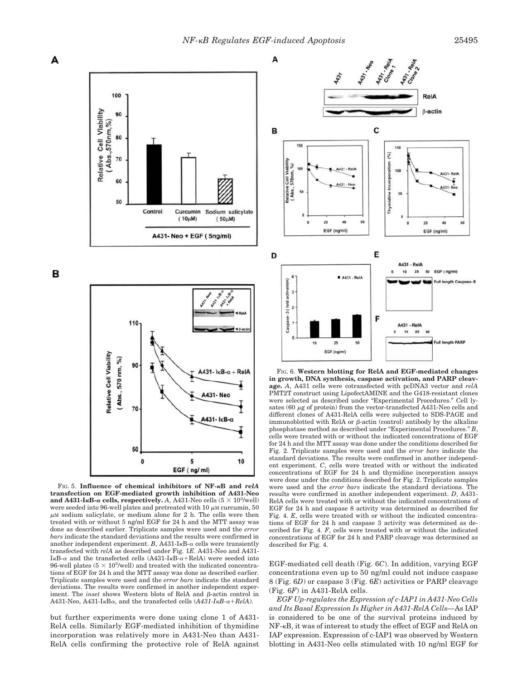RelA

20

50

50

431-Re

431- N

40

EGF (ng/ml)

ull length PARF

ull le igth Casp

EGF (ng/ml)



FIG. 5. **Influence of chemical inhibitors of NF-B and** *relA* **transfection on EGF-mediated growth inhibition of A431-Neo** and  $A431$ -I<sub>K</sub>B- $\alpha$  cells, respectively. A, A431-Neo cells ( $5 \times 10^3$ /well) were seeded into 96-well plates and pretreated with 10  $\mu$ M curcumin, 50  $\mu$ M sodium salicylate, or medium alone for 2 h. The cells were then treated with or without 5 ng/ml EGF for 24 h and the MTT assay was done as described earlier. Triplicate samples were used and the *error bars* indicate the standard deviations and the results were confirmed in another independent experiment.  $B$ , A431-I<sub>K</sub>B- $\alpha$  cells were transiently transfected with *relA* as described under Fig. 1*E*. A431-Neo and A431- I $\kappa$ B- $\alpha$  and the transfected cells (A431-I $\kappa$ B- $\alpha$ +RelA) were seeded into 96-well plates  $(5 \times 10^3/\text{well})$  and treated with the indicated concentrations of EGF for 24 h and the MTT assay was done as described earlier. Triplicate samples were used and the *error bars* indicate the standard deviations. The results were confirmed in another independent experiment. The *inset* shows Western blots of RelA and  $\beta$ -actin control in  $A431-Neo$ ,  $A431-I<sub>K</sub>B<sub>\alpha</sub>$ , and the transfected cells  $(A431-I<sub>K</sub>B<sub>\alpha</sub>+RelA)$ .

but further experiments were done using clone 1 of A431- RelA cells. Similarly EGF-mediated inhibition of thymidine incorporation was relatively more in A431-Neo than A431- RelA cells confirming the protective role of RelA against 8 (Fig. 6*D*) or caspase 3 (Fig. 6*E*) activities or PARP cleavage (Fig. 6*F*) in A431-RelA cells. *EGF Up-regulates the Expression of c-IAP1 in A431-Neo Cells and Its Basal Expression Is Higher in A431-RelA Cells—*As IAP is considered to be one of the survival proteins induced by  $NF-\kappa B$ , it was of interest to study the effect of EGF and RelA on IAP expression. Expression of c-IAP1 was observed by Western

blotting in A431-Neo cells stimulated with 10 ng/ml EGF for

EGF-mediated cell death (Fig. 6*C*). In addition, varying EGF concentrations even up to 50 ng/ml could not induce caspase

described for Fig. 4.

were used and the *error bars* indicate the standard deviations. The results were confirmed in another independent experiment. *D*, A431- RelA cells were treated with or without the indicated concentrations of EGF for 24 h and caspase 8 activity was determined as described for Fig. 4. *E*, cells were treated with or without the indicated concentrations of EGF for 24 h and caspase 3 activity was determined as described for Fig. 4. *F*, cells were treated with or without the indicated concentrations of EGF for 24 h and PARP cleavage was determined as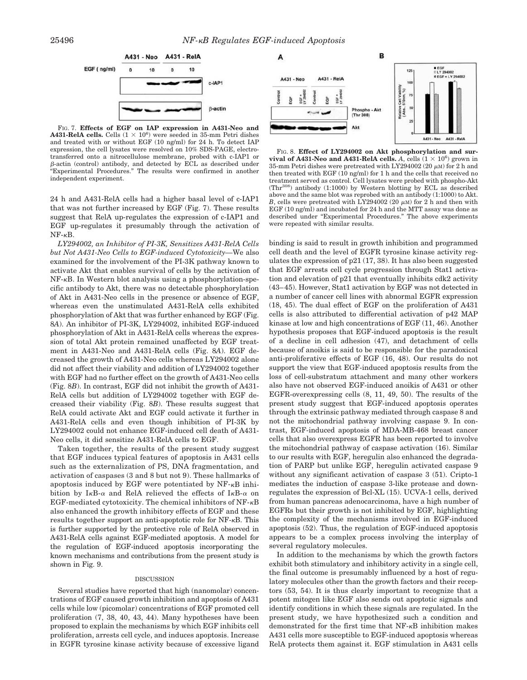

FIG. 7. **Effects of EGF on IAP expression in A431-Neo and**  $A431$ -RelA cells. Cells  $(1 \times 10^6)$  were seeded in 35-mm Petri dishes and treated with or without EGF (10 ng/ml) for 24 h. To detect IAP expression, the cell lysates were resolved on 10% SDS-PAGE, electrotransferred onto a nitrocellulose membrane, probed with c-IAP1 or  $\beta$ -actin (control) antibody, and detected by ECL as described under "Experimental Procedures." The results were confirmed in another independent experiment.

24 h and A431-RelA cells had a higher basal level of c-IAP1 that was not further increased by EGF (Fig. 7). These results suggest that RelA up-regulates the expression of c-IAP1 and EGF up-regulates it presumably through the activation of  $NF-\kappa B$ .

*LY294002, an Inhibitor of PI-3K, Sensitizes A431-RelA Cells but Not A431-Neo Cells to EGF-induced Cytotoxicity—*We also examined for the involvement of the PI-3K pathway known to activate Akt that enables survival of cells by the activation of  $NF-<sub>\kappa</sub>B$ . In Western blot analysis using a phosphorylation-specific antibody to Akt, there was no detectable phosphorylation of Akt in A431-Neo cells in the presence or absence of EGF, whereas even the unstimulated A431-RelA cells exhibited phosphorylation of Akt that was further enhanced by EGF (Fig. 8*A*). An inhibitor of PI-3K, LY294002, inhibited EGF-induced phosphorylation of Akt in A431-RelA cells whereas the expression of total Akt protein remained unaffected by EGF treatment in A431-Neo and A431-RelA cells (Fig. 8*A*). EGF decreased the growth of A431-Neo cells whereas LY294002 alone did not affect their viability and addition of LY294002 together with EGF had no further effect on the growth of A431-Neo cells (Fig. 8*B*). In contrast, EGF did not inhibit the growth of A431- RelA cells but addition of LY294002 together with EGF decreased their viability (Fig. 8*B*). These results suggest that RelA could activate Akt and EGF could activate it further in A431-RelA cells and even though inhibition of PI-3K by LY294002 could not enhance EGF-induced cell death of A431- Neo cells, it did sensitize A431-RelA cells to EGF.

Taken together, the results of the present study suggest that EGF induces typical features of apoptosis in A431 cells such as the externalization of PS, DNA fragmentation, and activation of caspases (3 and 8 but not 9). These hallmarks of apoptosis induced by EGF were potentiated by  $NF - \kappa B$  inhibition by I<sub>K</sub>B- $\alpha$  and RelA relieved the effects of I<sub>K</sub>B- $\alpha$  on EGF-mediated cytotoxicity. The chemical inhibitors of  $NF - \kappa B$ also enhanced the growth inhibitory effects of EGF and these results together support an anti-apoptotic role for NF- $\kappa$ B. This is further supported by the protective role of RelA observed in A431-RelA cells against EGF-mediated apoptosis. A model for the regulation of EGF-induced apoptosis incorporating the known mechanisms and contributions from the present study is shown in Fig. 9.

#### DISCUSSION

Several studies have reported that high (nanomolar) concentrations of EGF caused growth inhibition and apoptosis of A431 cells while low (picomolar) concentrations of EGF promoted cell proliferation (7, 38, 40, 43, 44). Many hypotheses have been proposed to explain the mechanisms by which EGF inhibits cell proliferation, arrests cell cycle, and induces apoptosis. Increase in EGFR tyrosine kinase activity because of excessive ligand



FIG. 8. **Effect of LY294002 on Akt phosphorylation and survival of A431-Neo and A431-RelA cells.** A, cells  $(1 \times 10^6)$  grown in 35-mm Petri dishes were pretreated with LY294002 (20  $\mu$ M) for 2 h and then treated with EGF (10 ng/ml) for 1 h and the cells that received no treatment served as control. Cell lysates were probed with phospho-Akt (Thr308) antibody (1:1000) by Western blotting by ECL as described above and the same blot was reprobed with an antibody (1:1000) to Akt. *B*, cells were pretreated with LY294002 (20  $\mu$ M) for 2 h and then with EGF (10 ng/ml) and incubated for 24 h and the MTT assay was done as described under "Experimental Procedures." The above experiments were repeated with similar results.

binding is said to result in growth inhibition and programmed cell death and the level of EGFR tyrosine kinase activity regulates the expression of p21 (17, 38). It has also been suggested that EGF arrests cell cycle progression through Stat1 activation and elevation of p21 that eventually inhibits cdk2 activity (43–45). However, Stat1 activation by EGF was not detected in a number of cancer cell lines with abnormal EGFR expression (18, 45). The dual effect of EGF on the proliferation of A431 cells is also attributed to differential activation of p42 MAP kinase at low and high concentrations of EGF (11, 46). Another hypothesis proposes that EGF-induced apoptosis is the result of a decline in cell adhesion (47), and detachment of cells because of anoikis is said to be responsible for the paradoxical anti-proliferative effects of EGF (16, 48). Our results do not support the view that EGF-induced apoptosis results from the loss of cell-substratum attachment and many other workers also have not observed EGF-induced anoikis of A431 or other EGFR-overexpressing cells (8, 11, 49, 50). The results of the present study suggest that EGF-induced apoptosis operates through the extrinsic pathway mediated through caspase 8 and not the mitochondrial pathway involving caspase 9. In contrast, EGF-induced apoptosis of MDA-MB-468 breast cancer cells that also overexpress EGFR has been reported to involve the mitochondrial pathway of caspase activation (16). Similar to our results with EGF, heregulin also enhanced the degradation of PARP but unlike EGF, heregulin activated caspase 9 without any significant activation of caspase 3 (51). Cripto-1 mediates the induction of caspase 3-like protease and downregulates the expression of Bcl-XL (15). UCVA-1 cells, derived from human pancreas adenocarcinoma, have a high number of EGFRs but their growth is not inhibited by EGF, highlighting the complexity of the mechanisms involved in EGF-induced apoptosis (52). Thus, the regulation of EGF-induced apoptosis appears to be a complex process involving the interplay of several regulatory molecules.

In addition to the mechanisms by which the growth factors exhibit both stimulatory and inhibitory activity in a single cell, the final outcome is presumably influenced by a host of regulatory molecules other than the growth factors and their receptors (53, 54). It is thus clearly important to recognize that a potent mitogen like EGF also sends out apoptotic signals and identify conditions in which these signals are regulated. In the present study, we have hypothesized such a condition and demonstrated for the first time that  $NF - \kappa B$  inhibition makes A431 cells more susceptible to EGF-induced apoptosis whereas RelA protects them against it. EGF stimulation in A431 cells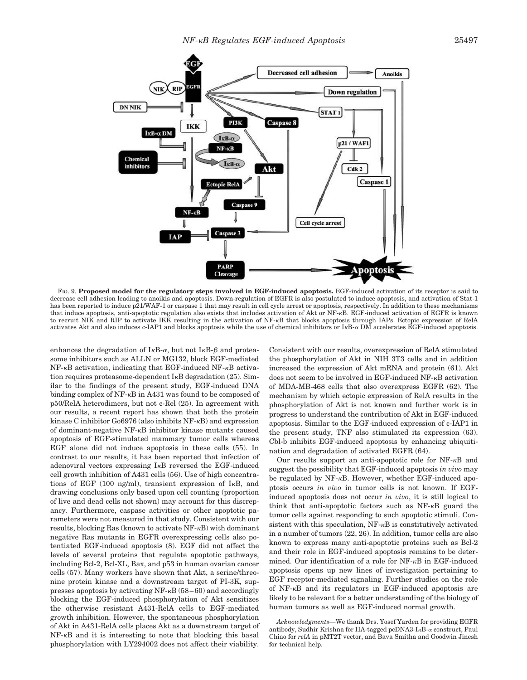

FIG. 9. **Proposed model for the regulatory steps involved in EGF-induced apoptosis.** EGF-induced activation of its receptor is said to decrease cell adhesion leading to anoikis and apoptosis. Down-regulation of EGFR is also postulated to induce apoptosis, and activation of Stat-1 has been reported to induce p21/WAF-1 or caspase 1 that may result in cell cycle arrest or apoptosis, respectively. In addition to these mechanisms that induce apoptosis, anti-apoptotic regulation also exists that includes activation of Akt or NF- $\kappa$ B. EGF-induced activation of EGFR is known to recruit NIK and RIP to activate IKK resulting in the activation of NF- $\kappa$ B that blocks apoptosis through IAPs. Ectopic expression of RelA activates Akt and also induces c-IAP1 and blocks apoptosis while the use of chemical inhibitors or  $I\kappa B-\alpha$  DM accelerates EGF-induced apoptosis.

enhances the degradation of  $I\kappa B$ - $\alpha$ , but not  $I\kappa B$ - $\beta$  and proteasome inhibitors such as ALLN or MG132, block EGF-mediated  $NF-\kappa B$  activation, indicating that EGF-induced NF- $\kappa B$  activation requires proteasome-dependent  $I \kappa B$  degradation (25). Similar to the findings of the present study, EGF-induced DNA binding complex of  $NF-\kappa B$  in A431 was found to be composed of p50/RelA heterodimers, but not c-Rel (25). In agreement with our results, a recent report has shown that both the protein kinase C inhibitor Go6976 (also inhibits NF- $\kappa$ B) and expression of dominant-negative NF- $\kappa$ B inhibitor kinase mutants caused apoptosis of EGF-stimulated mammary tumor cells whereas EGF alone did not induce apoptosis in these cells (55). In contrast to our results, it has been reported that infection of adenoviral vectors expressing  $I<sub>\kappa</sub>B$  reversed the EGF-induced cell growth inhibition of A431 cells (56). Use of high concentrations of EGF (100 ng/ml), transient expression of  $I<sub>κ</sub>B$ , and drawing conclusions only based upon cell counting (proportion of live and dead cells not shown) may account for this discrepancy. Furthermore, caspase activities or other apoptotic parameters were not measured in that study. Consistent with our results, blocking Ras (known to activate  $NF - \kappa B$ ) with dominant negative Ras mutants in EGFR overexpressing cells also potentiated EGF-induced apoptosis (8). EGF did not affect the levels of several proteins that regulate apoptotic pathways, including Bcl-2, Bcl-XL, Bax, and p53 in human ovarian cancer cells (57). Many workers have shown that Akt, a serine/threonine protein kinase and a downstream target of PI-3K, suppresses apoptosis by activating  $NF - \kappa B (58-60)$  and accordingly blocking the EGF-induced phosphorylation of Akt sensitizes the otherwise resistant A431-RelA cells to EGF-mediated growth inhibition. However, the spontaneous phosphorylation of Akt in A431-RelA cells places Akt as a downstream target of  $NF-\kappa B$  and it is interesting to note that blocking this basal phosphorylation with LY294002 does not affect their viability.

Consistent with our results, overexpression of RelA stimulated the phosphorylation of Akt in NIH 3T3 cells and in addition increased the expression of Akt mRNA and protein (61). Akt does not seem to be involved in EGF-induced NF- $\kappa$ B activation of MDA-MB-468 cells that also overexpress EGFR (62). The mechanism by which ectopic expression of RelA results in the phosphorylation of Akt is not known and further work is in progress to understand the contribution of Akt in EGF-induced apoptosis. Similar to the EGF-induced expression of c-IAP1 in the present study, TNF also stimulated its expression (63). Cbl-b inhibits EGF-induced apoptosis by enhancing ubiquitination and degradation of activated EGFR (64).

Our results support an anti-apoptotic role for NF- $\kappa$ B and suggest the possibility that EGF-induced apoptosis *in vivo* may be regulated by  $NF-\kappa B$ . However, whether EGF-induced apoptosis occurs *in vivo* in tumor cells is not known. If EGFinduced apoptosis does not occur *in vivo*, it is still logical to think that anti-apoptotic factors such as  $NF- $\kappa$ B$  guard the tumor cells against responding to such apoptotic stimuli. Consistent with this speculation,  $NF-\kappa B$  is constitutively activated in a number of tumors (22, 26). In addition, tumor cells are also known to express many anti-apoptotic proteins such as Bcl-2 and their role in EGF-induced apoptosis remains to be determined. Our identification of a role for  $NF-\kappa B$  in EGF-induced apoptosis opens up new lines of investigation pertaining to EGF receptor-mediated signaling. Further studies on the role of  $NF-\kappa B$  and its regulators in EGF-induced apoptosis are likely to be relevant for a better understanding of the biology of human tumors as well as EGF-induced normal growth.

*Acknowledgments—*We thank Drs. Yosef Yarden for providing EGFR antibody, Sudhir Krishna for HA-tagged pcDNA3-I $\kappa$ B- $\alpha$  construct, Paul Chiao for *relA* in pMT2T vector, and Bava Smitha and Goodwin Jinesh for technical help.